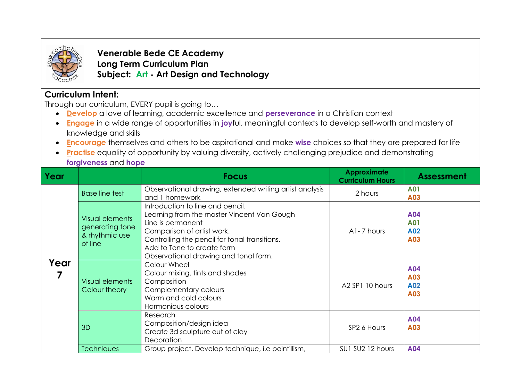

**Venerable Bede CE Academy Long Term Curriculum Plan Subject: Art - Art Design and Technology**

## **Curriculum Intent:**

Through our curriculum, EVERY pupil is going to…

- **Develop** a love of learning, academic excellence and **perseverance** in a Christian context
- **Engage** in a wide range of opportunities in **joy**ful, meaningful contexts to develop self-worth and mastery of knowledge and skills
- **Encourag***e* themselves and others to be aspirational and make **wise** choices so that they are prepared for life
- **Practise** equality of opportunity by valuing diversity, actively challenging prejudice and demonstrating **forgiveness** and **hope**

| Year |                                                                        | <b>Focus</b>                                                                                                                                                                                                                                              | <b>Approximate</b><br><b>Curriculum Hours</b> | <b>Assessment</b>               |
|------|------------------------------------------------------------------------|-----------------------------------------------------------------------------------------------------------------------------------------------------------------------------------------------------------------------------------------------------------|-----------------------------------------------|---------------------------------|
| Year | <b>Base line test</b>                                                  | Observational drawing, extended writing artist analysis<br>and 1 homework                                                                                                                                                                                 | 2 hours                                       | <b>A01</b><br>A03               |
|      | <b>Visual elements</b><br>generating tone<br>& rhythmic use<br>of line | Introduction to line and pencil.<br>Learning from the master Vincent Van Gough<br>Line is permanent<br>Comparison of artist work.<br>Controlling the pencil for tonal transitions.<br>Add to Tone to create form<br>Observational drawing and tonal form. | A1-7 hours                                    | A04<br><b>A01</b><br>A02<br>A03 |
|      | <b>Visual elements</b><br>Colour theory                                | Colour Wheel<br>Colour mixing, tints and shades<br>Composition<br>Complementary colours<br>Warm and cold colours<br>Harmonious colours                                                                                                                    | A <sub>2</sub> SP <sub>1</sub> 10 hours       | A04<br>A03<br>A02<br>A03        |
|      | 3D                                                                     | Research<br>Composition/design idea<br>Create 3d sculpture out of clay<br>Decoration                                                                                                                                                                      | SP <sub>2</sub> 6 Hours                       | A04<br>A03                      |
|      | <b>Techniques</b>                                                      | Group project. Develop technique, i.e pointillism,                                                                                                                                                                                                        | SU1 SU2 12 hours                              | A04                             |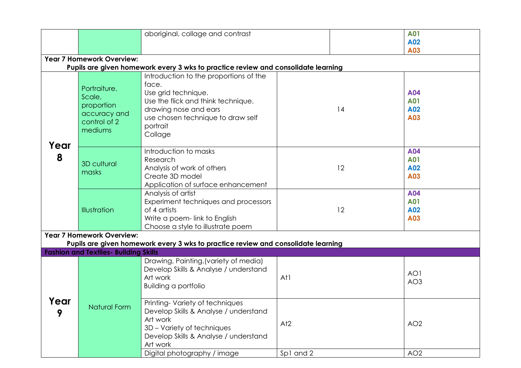|                                                                                   |                                                                                 | aboriginal, collage and contrast                                                                                                                                       |           | <b>A01</b>                             |  |  |  |  |  |
|-----------------------------------------------------------------------------------|---------------------------------------------------------------------------------|------------------------------------------------------------------------------------------------------------------------------------------------------------------------|-----------|----------------------------------------|--|--|--|--|--|
|                                                                                   |                                                                                 |                                                                                                                                                                        |           | A02                                    |  |  |  |  |  |
|                                                                                   |                                                                                 |                                                                                                                                                                        |           | A03                                    |  |  |  |  |  |
|                                                                                   | <b>Year 7 Homework Overview:</b>                                                |                                                                                                                                                                        |           |                                        |  |  |  |  |  |
| Pupils are given homework every 3 wks to practice review and consolidate learning |                                                                                 |                                                                                                                                                                        |           |                                        |  |  |  |  |  |
|                                                                                   |                                                                                 | Introduction to the proportions of the                                                                                                                                 |           |                                        |  |  |  |  |  |
| Year<br>8                                                                         | Portraiture.<br>Scale,<br>proportion<br>accuracy and<br>control of 2<br>mediums | face.<br>Use grid technique.<br>Use the flick and think technique.<br>drawing nose and ears<br>use chosen technique to draw self<br>portrait<br>Collage                | 14        | <b>A04</b><br><b>A01</b><br>A02<br>A03 |  |  |  |  |  |
|                                                                                   | <b>3D cultural</b><br>masks                                                     | Introduction to masks<br>Research<br>Analysis of work of others<br>Create 3D model<br>Application of surface enhancement                                               | 12        | A04<br><b>A01</b><br>A02<br>A03        |  |  |  |  |  |
|                                                                                   | Illustration                                                                    | Analysis of artist<br>Experiment techniques and processors<br>of 4 artists<br>Write a poem-link to English<br>Choose a style to illustrate poem                        | 12        | A04<br><b>A01</b><br>A02<br>A03        |  |  |  |  |  |
|                                                                                   | <b>Year 7 Homework Overview:</b>                                                |                                                                                                                                                                        |           |                                        |  |  |  |  |  |
|                                                                                   |                                                                                 | Pupils are given homework every 3 wks to practice review and consolidate learning                                                                                      |           |                                        |  |  |  |  |  |
|                                                                                   | <b>Fashion and Textiles- Building Skills</b>                                    |                                                                                                                                                                        |           |                                        |  |  |  |  |  |
|                                                                                   |                                                                                 | Drawing, Painting, (variety of media)<br>Develop Skills & Analyse / understand<br>Art work<br><b>Building a portfolio</b>                                              | At1       | AO1<br>AO <sub>3</sub>                 |  |  |  |  |  |
| Year<br>9                                                                         | Natural Form                                                                    | Printing-Variety of techniques<br>Develop Skills & Analyse / understand<br>Art work<br>3D - Variety of techniques<br>Develop Skills & Analyse / understand<br>Art work | At2       | AO <sub>2</sub>                        |  |  |  |  |  |
|                                                                                   |                                                                                 | Digital photography / image                                                                                                                                            | Sp1 and 2 | AO <sub>2</sub>                        |  |  |  |  |  |